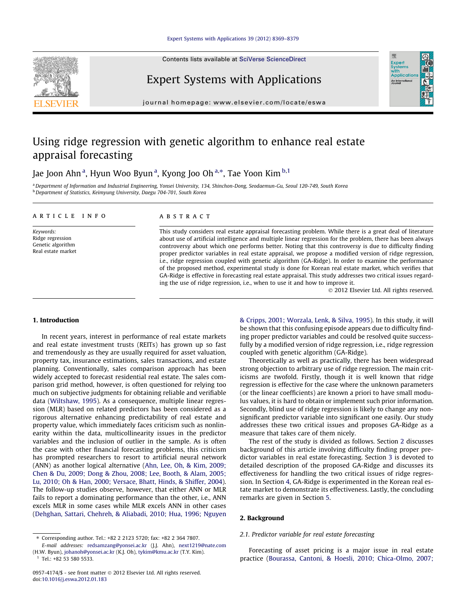Contents lists available at [SciVerse ScienceDirect](http://www.sciencedirect.com/science/journal/09574174)



## Expert Systems with Applications

journal homepage: [www.elsevier.com/locate/eswa](http://www.elsevier.com/locate/eswa)

## Using ridge regression with genetic algorithm to enhance real estate appraisal forecasting

Jae Joon Ahn $^{\rm a}$ , Hyun Woo Byun $^{\rm a}$ , Kyong Joo Oh $^{\rm a, *}$ , Tae Yoon Kim $^{\rm b,1}$ 

a Department of Information and Industrial Engineering, Yonsei University, 134, Shinchon-Dong, Seodaemun-Gu, Seoul 120-749, South Korea <sup>b</sup> Department of Statistics, Keimyung University, Daegu 704-701, South Korea

#### article info

Keywords: Ridge regression Genetic algorithm Real estate market

#### **ABSTRACT**

This study considers real estate appraisal forecasting problem. While there is a great deal of literature about use of artificial intelligence and multiple linear regression for the problem, there has been always controversy about which one performs better. Noting that this controversy is due to difficulty finding proper predictor variables in real estate appraisal, we propose a modified version of ridge regression, i.e., ridge regression coupled with genetic algorithm (GA-Ridge). In order to examine the performance of the proposed method, experimental study is done for Korean real estate market, which verifies that GA-Ridge is effective in forecasting real estate appraisal. This study addresses two critical issues regarding the use of ridge regression, i.e., when to use it and how to improve it.

- 2012 Elsevier Ltd. All rights reserved.

Expert<br>Syster Applicatio An Interna

### 1. Introduction

In recent years, interest in performance of real estate markets and real estate investment trusts (REITs) has grown up so fast and tremendously as they are usually required for asset valuation, property tax, insurance estimations, sales transactions, and estate planning. Conventionally, sales comparison approach has been widely accepted to forecast residential real estate. The sales comparison grid method, however, is often questioned for relying too much on subjective judgments for obtaining reliable and verifiable data [\(Wiltshaw, 1995\)](#page--1-0). As a consequence, multiple linear regression (MLR) based on related predictors has been considered as a rigorous alternative enhancing predictability of real estate and property value, which immediately faces criticism such as nonlinearity within the data, multicollinearity issues in the predictor variables and the inclusion of outlier in the sample. As is often the case with other financial forecasting problems, this criticism has prompted researchers to resort to artificial neural network (ANN) as another logical alternative [\(Ahn, Lee, Oh, & Kim, 2009;](#page--1-0) [Chen & Du, 2009; Dong & Zhou, 2008; Lee, Booth, & Alam, 2005;](#page--1-0) [Lu, 2010; Oh & Han, 2000; Versace, Bhatt, Hinds, & Shiffer, 2004\)](#page--1-0). The follow-up studies observe, however, that either ANN or MLR fails to report a dominating performance than the other, i.e., ANN excels MLR in some cases while MLR excels ANN in other cases ([Dehghan, Sattari, Chehreh, & Aliabadi, 2010; Hua, 1996; Nguyen](#page--1-0) [& Cripps, 2001; Worzala, Lenk, & Silva, 1995](#page--1-0)). In this study, it will be shown that this confusing episode appears due to difficulty finding proper predictor variables and could be resolved quite successfully by a modified version of ridge regression, i.e., ridge regression coupled with genetic algorithm (GA-Ridge).

Theoretically as well as practically, there has been widespread strong objection to arbitrary use of ridge regression. The main criticisms are twofold. Firstly, though it is well known that ridge regression is effective for the case where the unknown parameters (or the linear coefficients) are known a priori to have small modulus values, it is hard to obtain or implement such prior information. Secondly, blind use of ridge regression is likely to change any nonsignificant predictor variable into significant one easily. Our study addresses these two critical issues and proposes GA-Ridge as a measure that takes care of them nicely.

The rest of the study is divided as follows. Section 2 discusses background of this article involving difficulty finding proper predictor variables in real estate forecasting. Section [3](#page--1-0) is devoted to detailed description of the proposed GA-Ridge and discusses its effectiveness for handling the two critical issues of ridge regression. In Section [4,](#page--1-0) GA-Ridge is experimented in the Korean real estate market to demonstrate its effectiveness. Lastly, the concluding remarks are given in Section [5.](#page--1-0)

#### 2. Background

#### 2.1. Predictor variable for real estate forecasting

Forecasting of asset pricing is a major issue in real estate practice ([Bourassa, Cantoni, & Hoesli, 2010; Chica-Olmo, 2007;](#page--1-0)

<sup>⇑</sup> Corresponding author. Tel.: +82 2 2123 5720; fax: +82 2 364 7807.

E-mail addresses: [redsamzang@yonsei.ac.kr](mailto:redsamzang@yonsei.ac.kr) (J.J. Ahn), [next1219@nate.com](mailto:next1219@nate.com) (H.W. Byun), [johanoh@yonsei.ac.kr](mailto:johanoh@yonsei.ac.kr) (K.J. Oh), [tykim@kmu.ac.kr](mailto:tykim@kmu.ac.kr) (T.Y. Kim).  $1$  Tel.: +82 53 580 5533.

<sup>0957-4174/\$ -</sup> see front matter © 2012 Elsevier Ltd. All rights reserved. doi[:10.1016/j.eswa.2012.01.183](http://dx.doi.org/10.1016/j.eswa.2012.01.183)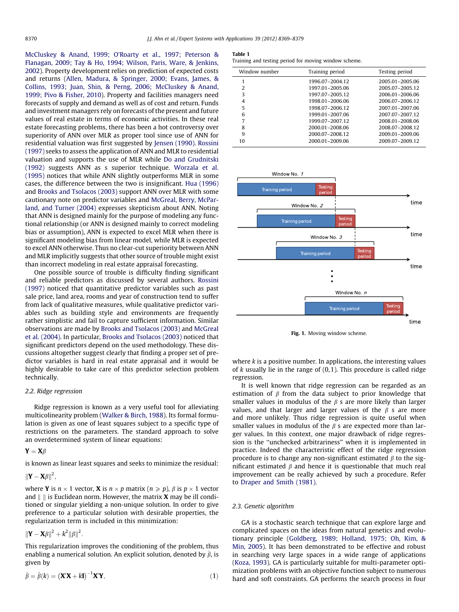[McCluskey & Anand, 1999; O'Roarty et al., 1997; Peterson &](#page--1-0) [Flanagan, 2009; Tay & Ho, 1994; Wilson, Paris, Ware, & Jenkins,](#page--1-0) [2002\)](#page--1-0). Property development relies on prediction of expected costs and returns [\(Allen, Madura, & Springer, 2000; Evans, James, &](#page--1-0) [Collins, 1993; Juan, Shin, & Perng, 2006; McCluskey & Anand,](#page--1-0) [1999; Pivo & Fisher, 2010](#page--1-0)). Property and facilities managers need forecasts of supply and demand as well as of cost and return. Funds and investment managers rely on forecasts of the present and future values of real estate in terms of economic activities. In these real estate forecasting problems, there has been a hot controversy over superiority of ANN over MLR as proper tool since use of ANN for residential valuation was first suggested by [Jensen \(1990\)](#page--1-0). [Rossini](#page--1-0) [\(1997\)](#page--1-0) seeks to assess the application of ANN and MLR to residential valuation and supports the use of MLR while [Do and Grudnitski](#page--1-0) [\(1992\)](#page--1-0) suggests ANN as s superior technique. [Worzala et al.](#page--1-0) [\(1995\)](#page--1-0) notices that while ANN slightly outperforms MLR in some cases, the difference between the two is insignificant. [Hua \(1996\)](#page--1-0) and [Brooks and Tsolacos \(2003\)](#page--1-0) support ANN over MLR with some cautionary note on predictor variables and [McGreal, Berry, McPar](#page--1-0)[land, and Turner \(2004\)](#page--1-0) expresses skepticism about ANN. Noting that ANN is designed mainly for the purpose of modeling any functional relationship (or ANN is designed mainly to correct modeling bias or assumption), ANN is expected to excel MLR when there is significant modeling bias from linear model, while MLR is expected to excel ANN otherwise. Thus no clear-cut superiority between ANN and MLR implicitly suggests that other source of trouble might exist than incorrect modeling in real estate appraisal forecasting.

One possible source of trouble is difficulty finding significant and reliable predictors as discussed by several authors. [Rossini](#page--1-0) [\(1997\)](#page--1-0) noticed that quantitative predictor variables such as past sale price, land area, rooms and year of construction tend to suffer from lack of qualitative measures, while qualitative predictor variables such as building style and environments are frequently rather simplistic and fail to capture sufficient information. Similar observations are made by [Brooks and Tsolacos \(2003\)](#page--1-0) and [McGreal](#page--1-0) [et al. \(2004\)](#page--1-0). In particular, [Brooks and Tsolacos \(2003\)](#page--1-0) noticed that significant predictors depend on the used methodology. These discussions altogether suggest clearly that finding a proper set of predictor variables is hard in real estate appraisal and it would be highly desirable to take care of this predictor selection problem technically.

#### 2.2. Ridge regression

Ridge regression is known as a very useful tool for alleviating multicolinearity problem [\(Walker & Birch, 1988](#page--1-0)). Its formal formulation is given as one of least squares subject to a specific type of restrictions on the parameters. The standard approach to solve an overdetermined system of linear equations:

### $Y = X\beta$

is known as linear least squares and seeks to minimize the residual:

 $\left\Vert \mathbf{Y}-\mathbf{X}\beta\right\Vert ^{2},$ 

where **Y** is  $n \times 1$  vector, **X** is  $n \times p$  matrix ( $n \ge p$ ),  $\beta$  is  $p \times 1$  vector and  $\parallel$   $\parallel$  is Euclidean norm. However, the matrix **X** may be ill conditioned or singular yielding a non-unique solution. In order to give preference to a particular solution with desirable properties, the regularization term is included in this minimization:

$$
\|\mathbf{Y}-\mathbf{X}\beta\|^2 + k^2\|\beta\|^2.
$$

This regularization improves the conditioning of the problem, thus enabling a numerical solution. An explicit solution, denoted by  $\hat{\beta}$ , is given by

$$
\hat{\beta} = \hat{\beta}(k) = (\mathbf{X}'\mathbf{X} + k\mathbf{I})^{-1}\mathbf{X}'\mathbf{Y},\tag{1}
$$

#### Table 1

Training and testing period for moving window scheme.

| Window number | Training period | Testing period  |
|---------------|-----------------|-----------------|
|               | 1996.07-2004.12 | 2005.01-2005.06 |
| 2             | 1997.01-2005.06 | 2005.07-2005.12 |
| 3             | 1997.07-2005.12 | 2006.01-2006.06 |
| 4             | 1998.01-2006.06 | 2006.07-2006.12 |
| 5             | 1998.07-2006.12 | 2007.01-2007.06 |
| 6             | 1999.01-2007.06 | 2007.07-2007.12 |
|               | 1999.07-2007.12 | 2008.01-2008.06 |
| 8             | 2000.01-2008.06 | 2008.07-2008.12 |
| 9             | 2000.07-2008.12 | 2009.01-2009.06 |
| 10            | 2000.01-2009.06 | 2009.07-2009.12 |
|               |                 |                 |



Fig. 1. Moving window scheme.

where  $k$  is a positive number. In applications, the interesting values of  $k$  usually lie in the range of  $(0,1)$ . This procedure is called ridge regression.

It is well known that ridge regression can be regarded as an estimation of  $\beta$  from the data subject to prior knowledge that smaller values in modulus of the  $\beta$  s are more likely than larger values, and that larger and larger values of the  $\beta$  s are more and more unlikely. Thus ridge regression is quite useful when smaller values in modulus of the  $\beta$  s are expected more than larger values. In this context, one major drawback of ridge regression is the ''unchecked arbitrariness'' when it is implemented in practice. Indeed the characteristic effect of the ridge regression procedure is to change any non-significant estimated  $\beta$  to the significant estimated  $\beta$  and hence it is questionable that much real improvement can be really achieved by such a procedure. Refer to [Draper and Smith \(1981\)](#page--1-0).

#### 2.3. Genetic algorithm

GA is a stochastic search technique that can explore large and complicated spaces on the ideas from natural genetics and evolutionary principle [\(Goldberg, 1989; Holland, 1975; Oh, Kim, &](#page--1-0) [Min, 2005\)](#page--1-0). It has been demonstrated to be effective and robust in searching very large spaces in a wide range of applications ([Koza, 1993\)](#page--1-0). GA is particularly suitable for multi-parameter optimization problems with an objective function subject to numerous hard and soft constraints. GA performs the search process in four